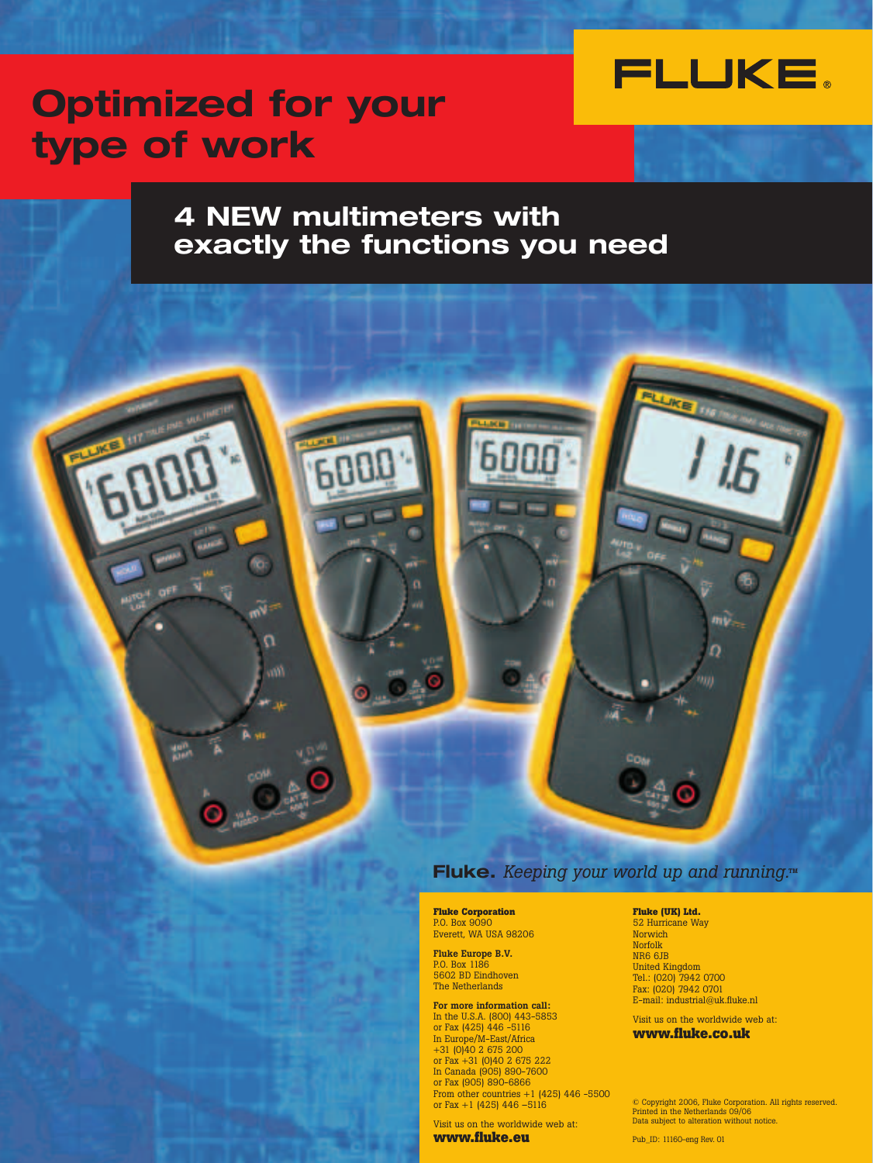

# **Optimized for your type of work**

## **4 NEW multimeters with exactly the functions you need**



## **Fluke.** *Keeping your world up and running.***TM**

**Fluke Corporation** P.O. Box 9090 Everett, WA USA 98206

**Fluke Europe B.V.** P.O. Box 1186 5602 BD Eindhoven The Netherlands

**For more information call:** In the U.S.A. (800) 443-5853 or Fax (425) 446 -5116 In Europe/M-East/Africa +31 (0)40 2 675 200 or Fax +31 (0)40 2 675 222 In Canada (905) 890-7600 or Fax (905) 890-6866 From other countries +1 (425) 446 -5500 or Fax +1 (425) 446  $-5116$ 

Visit us on the worldwide web at: **www.fluke.eu**

#### **Fluke (UK) Ltd.**

52 Hurricane Way Norwich Norfolk NR6 6JB United Kingdom Tel.: (020) 7942 0700 Fax: (020) 7942 0701 E-mail: industrial@uk.fluke.nl

Visit us on the worldwide web at: **www.fluke.co.uk**

© Copyright 2006, Fluke Corporation. All rights reserved. Printed in the Netherlands 09/06 Data subject to alteration without notice.

Pub\_ID: 11160-eng Rev. 01